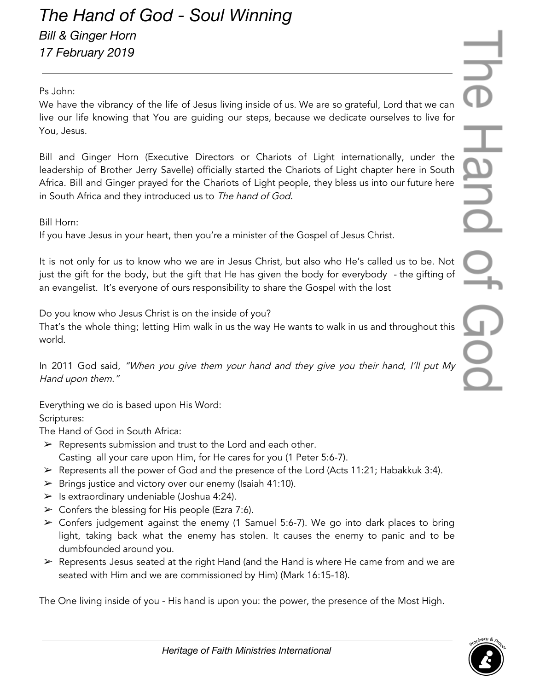## Ps John:

We have the vibrancy of the life of Jesus living inside of us. We are so grateful, Lord that we can live our life knowing that You are guiding our steps, because we dedicate ourselves to live for You, Jesus.

Bill and Ginger Horn (Executive Directors or Chariots of Light internationally, under the leadership of Brother Jerry Savelle) officially started the Chariots of Light chapter here in South Africa. Bill and Ginger prayed for the Chariots of Light people, they bless us into our future here in South Africa and they introduced us to The hand of God.

Bill Horn:

If you have Jesus in your heart, then you're a minister of the Gospel of Jesus Christ.

It is not only for us to know who we are in Jesus Christ, but also who He's called us to be. Not just the gift for the body, but the gift that He has given the body for everybody - the gifting of an evangelist. It's everyone of ours responsibility to share the Gospel with the lost

Do you know who Jesus Christ is on the inside of you?

That's the whole thing; letting Him walk in us the way He wants to walk in us and throughout this world.

In 2011 God said, "When you <sup>g</sup>ive them your hand and they <sup>g</sup>ive you their hand, I'll put My Hand upon them."

Everything we do is based upon His Word:

Scriptures:

The Hand of God in South Africa:

- $\triangleright$  Represents submission and trust to the Lord and each other. Casting all your care upon Him, for He cares for you (1 Peter 5:6-7).
- $\triangleright$  Represents all the power of God and the presence of the Lord (Acts 11:21; Habakkuk 3:4).
- $\triangleright$  Brings justice and victory over our enemy (Isaiah 41:10).
- $\triangleright$  Is extraordinary undeniable (Joshua 4:24).
- $\triangleright$  Confers the blessing for His people (Ezra 7:6).
- $\triangleright$  Confers judgement against the enemy (1 Samuel 5:6-7). We go into dark places to bring light, taking back what the enemy has stolen. It causes the enemy to panic and to be dumbfounded around you.
- ➢ Represents Jesus seated at the right Hand (and the Hand is where He came from and we are seated with Him and we are commissioned by Him) (Mark 16:15-18).

The One living inside of you - His hand is upon you: the power, the presence of the Most High.